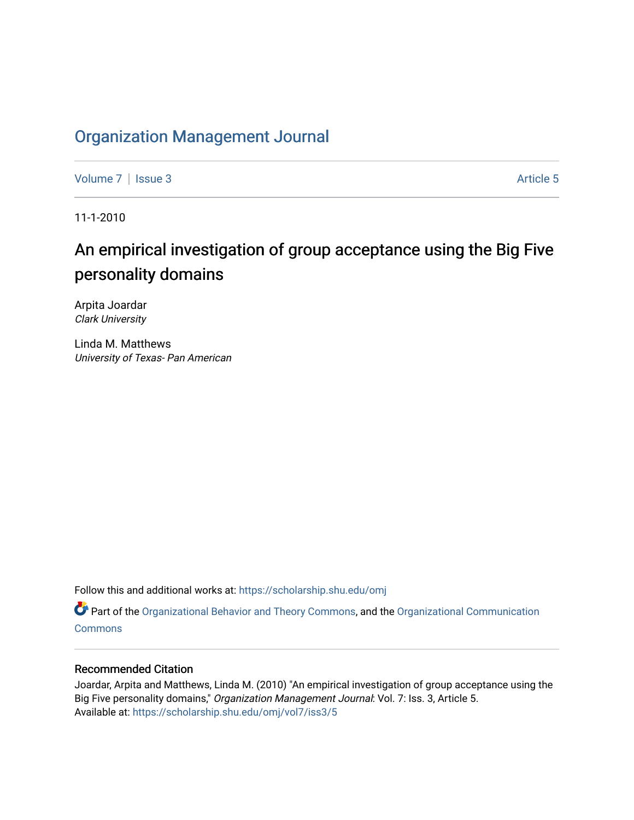## [Organization Management Journal](https://scholarship.shu.edu/omj)

[Volume 7](https://scholarship.shu.edu/omj/vol7) | [Issue 3](https://scholarship.shu.edu/omj/vol7/iss3) Article 5

11-1-2010

# An empirical investigation of group acceptance using the Big Five personality domains

Arpita Joardar Clark University

Linda M. Matthews University of Texas- Pan American

Follow this and additional works at: [https://scholarship.shu.edu/omj](https://scholarship.shu.edu/omj?utm_source=scholarship.shu.edu%2Fomj%2Fvol7%2Fiss3%2F5&utm_medium=PDF&utm_campaign=PDFCoverPages) 

Part of the [Organizational Behavior and Theory Commons,](http://network.bepress.com/hgg/discipline/639?utm_source=scholarship.shu.edu%2Fomj%2Fvol7%2Fiss3%2F5&utm_medium=PDF&utm_campaign=PDFCoverPages) and the [Organizational Communication](http://network.bepress.com/hgg/discipline/335?utm_source=scholarship.shu.edu%2Fomj%2Fvol7%2Fiss3%2F5&utm_medium=PDF&utm_campaign=PDFCoverPages) **[Commons](http://network.bepress.com/hgg/discipline/335?utm_source=scholarship.shu.edu%2Fomj%2Fvol7%2Fiss3%2F5&utm_medium=PDF&utm_campaign=PDFCoverPages)** 

#### Recommended Citation

Joardar, Arpita and Matthews, Linda M. (2010) "An empirical investigation of group acceptance using the Big Five personality domains," Organization Management Journal: Vol. 7: Iss. 3, Article 5. Available at: [https://scholarship.shu.edu/omj/vol7/iss3/5](https://scholarship.shu.edu/omj/vol7/iss3/5?utm_source=scholarship.shu.edu%2Fomj%2Fvol7%2Fiss3%2F5&utm_medium=PDF&utm_campaign=PDFCoverPages)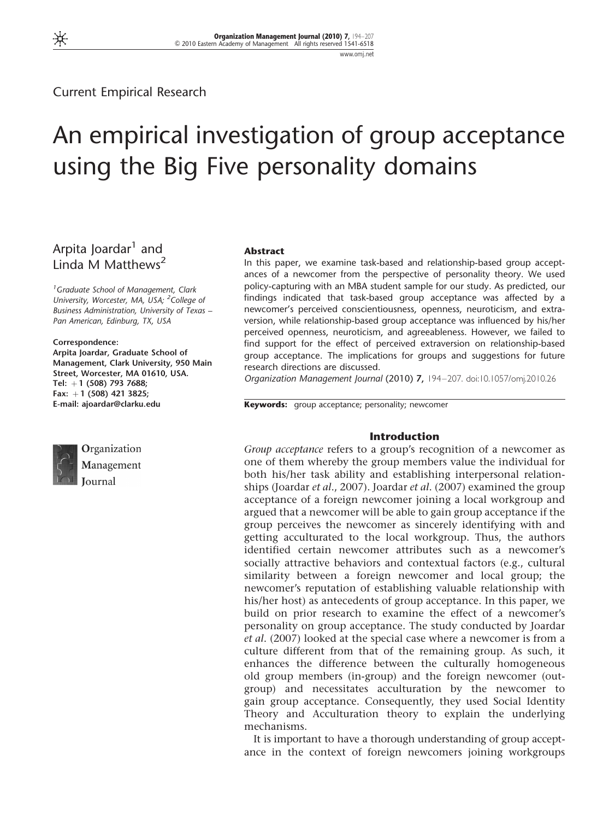Current Empirical Research

# An empirical investigation of group acceptance using the Big Five personality domains

### Arpita Joardar<sup>1</sup> and  $Linda$  M Matthews<sup>2</sup>

<sup>1</sup> Graduate School of Management, Clark University, Worcester, MA, USA; <sup>2</sup>College of Business Administration, University of Texas – Pan American, Edinburg, TX, USA

Correspondence: Arpita Joardar, Graduate School of Management, Clark University, 950 Main Street, Worcester, MA 01610, USA. Tel:  $+1$  (508) 793 7688; Fax:  $+1$  (508) 421 3825; E-mail: ajoardar@clarku.edu

Organization Management **I**ournal

#### Abstract

In this paper, we examine task-based and relationship-based group acceptances of a newcomer from the perspective of personality theory. We used policy-capturing with an MBA student sample for our study. As predicted, our findings indicated that task-based group acceptance was affected by a newcomer's perceived conscientiousness, openness, neuroticism, and extraversion, while relationship-based group acceptance was influenced by his/her perceived openness, neuroticism, and agreeableness. However, we failed to find support for the effect of perceived extraversion on relationship-based group acceptance. The implications for groups and suggestions for future research directions are discussed.

Organization Management Journal (2010) 7, 194–207. doi:10.1057/omj.2010.26

**Keywords:** group acceptance; personality; newcomer

#### Introduction

Group acceptance refers to a group's recognition of a newcomer as one of them whereby the group members value the individual for both his/her task ability and establishing interpersonal relationships (Joardar et al., 2007). Joardar et al. (2007) examined the group acceptance of a foreign newcomer joining a local workgroup and argued that a newcomer will be able to gain group acceptance if the group perceives the newcomer as sincerely identifying with and getting acculturated to the local workgroup. Thus, the authors identified certain newcomer attributes such as a newcomer's socially attractive behaviors and contextual factors (e.g., cultural similarity between a foreign newcomer and local group; the newcomer's reputation of establishing valuable relationship with his/her host) as antecedents of group acceptance. In this paper, we build on prior research to examine the effect of a newcomer's personality on group acceptance. The study conducted by Joardar et al. (2007) looked at the special case where a newcomer is from a culture different from that of the remaining group. As such, it enhances the difference between the culturally homogeneous old group members (in-group) and the foreign newcomer (outgroup) and necessitates acculturation by the newcomer to gain group acceptance. Consequently, they used Social Identity Theory and Acculturation theory to explain the underlying mechanisms.

It is important to have a thorough understanding of group acceptance in the context of foreign newcomers joining workgroups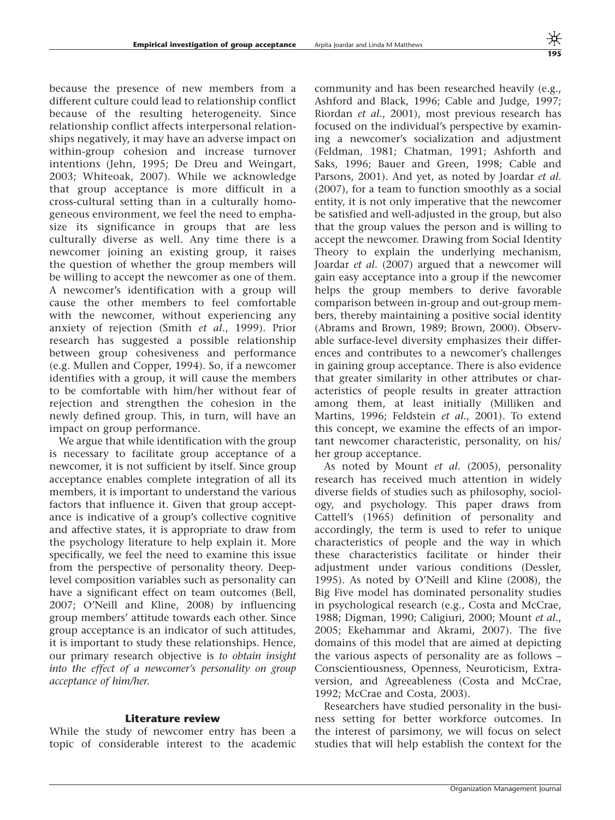because the presence of new members from a different culture could lead to relationship conflict because of the resulting heterogeneity. Since relationship conflict affects interpersonal relationships negatively, it may have an adverse impact on within-group cohesion and increase turnover intentions (Jehn, 1995; De Dreu and Weingart, 2003; Whiteoak, 2007). While we acknowledge that group acceptance is more difficult in a cross-cultural setting than in a culturally homogeneous environment, we feel the need to emphasize its significance in groups that are less culturally diverse as well. Any time there is a newcomer joining an existing group, it raises the question of whether the group members will be willing to accept the newcomer as one of them. A newcomer's identification with a group will cause the other members to feel comfortable with the newcomer, without experiencing any anxiety of rejection (Smith et al., 1999). Prior research has suggested a possible relationship between group cohesiveness and performance (e.g. Mullen and Copper, 1994). So, if a newcomer identifies with a group, it will cause the members to be comfortable with him/her without fear of rejection and strengthen the cohesion in the newly defined group. This, in turn, will have an impact on group performance.

We argue that while identification with the group is necessary to facilitate group acceptance of a newcomer, it is not sufficient by itself. Since group acceptance enables complete integration of all its members, it is important to understand the various factors that influence it. Given that group acceptance is indicative of a group's collective cognitive and affective states, it is appropriate to draw from the psychology literature to help explain it. More specifically, we feel the need to examine this issue from the perspective of personality theory. Deeplevel composition variables such as personality can have a significant effect on team outcomes (Bell, 2007; O'Neill and Kline, 2008) by influencing group members' attitude towards each other. Since group acceptance is an indicator of such attitudes, it is important to study these relationships. Hence, our primary research objective is to obtain insight into the effect of a newcomer's personality on group acceptance of him/her.

#### Literature review

While the study of newcomer entry has been a topic of considerable interest to the academic community and has been researched heavily (e.g., Ashford and Black, 1996; Cable and Judge, 1997; Riordan et al., 2001), most previous research has focused on the individual's perspective by examining a newcomer's socialization and adjustment (Feldman, 1981; Chatman, 1991; Ashforth and Saks, 1996; Bauer and Green, 1998; Cable and Parsons, 2001). And yet, as noted by Joardar et al. (2007), for a team to function smoothly as a social entity, it is not only imperative that the newcomer be satisfied and well-adjusted in the group, but also that the group values the person and is willing to accept the newcomer. Drawing from Social Identity Theory to explain the underlying mechanism, Joardar et al. (2007) argued that a newcomer will gain easy acceptance into a group if the newcomer helps the group members to derive favorable comparison between in-group and out-group members, thereby maintaining a positive social identity (Abrams and Brown, 1989; Brown, 2000). Observable surface-level diversity emphasizes their differences and contributes to a newcomer's challenges in gaining group acceptance. There is also evidence that greater similarity in other attributes or characteristics of people results in greater attraction among them, at least initially (Milliken and Martins, 1996; Feldstein et al., 2001). To extend this concept, we examine the effects of an important newcomer characteristic, personality, on his/ her group acceptance.

As noted by Mount et al. (2005), personality research has received much attention in widely diverse fields of studies such as philosophy, sociology, and psychology. This paper draws from Cattell's (1965) definition of personality and accordingly, the term is used to refer to unique characteristics of people and the way in which these characteristics facilitate or hinder their adjustment under various conditions (Dessler, 1995). As noted by O'Neill and Kline (2008), the Big Five model has dominated personality studies in psychological research (e.g., Costa and McCrae, 1988; Digman, 1990; Caligiuri, 2000; Mount et al., 2005; Ekehammar and Akrami, 2007). The five domains of this model that are aimed at depicting the various aspects of personality are as follows – Conscientiousness, Openness, Neuroticism, Extraversion, and Agreeableness (Costa and McCrae, 1992; McCrae and Costa, 2003).

Researchers have studied personality in the business setting for better workforce outcomes. In the interest of parsimony, we will focus on select studies that will help establish the context for the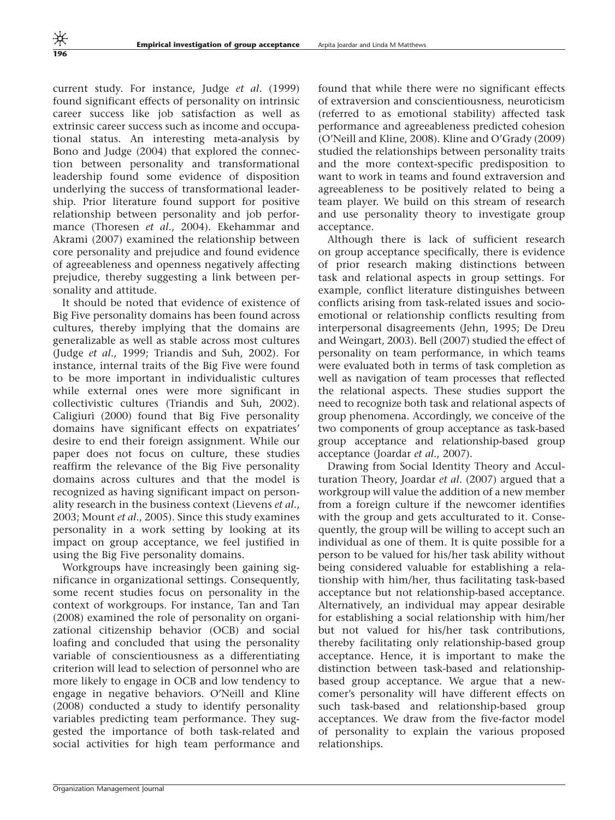current study. For instance, Judge et al. (1999) found significant effects of personality on intrinsic career success like job satisfaction as well as extrinsic career success such as income and occupational status. An interesting meta-analysis by Bono and Judge (2004) that explored the connection between personality and transformational leadership found some evidence of disposition underlying the success of transformational leadership. Prior literature found support for positive relationship between personality and job performance (Thoresen et al., 2004). Ekehammar and Akrami (2007) examined the relationship between core personality and prejudice and found evidence of agreeableness and openness negatively affecting prejudice, thereby suggesting a link between personality and attitude.

It should be noted that evidence of existence of Big Five personality domains has been found across cultures, thereby implying that the domains are generalizable as well as stable across most cultures (Judge et al., 1999; Triandis and Suh, 2002). For instance, internal traits of the Big Five were found to be more important in individualistic cultures while external ones were more significant in collectivistic cultures (Triandis and Suh, 2002). Caligiuri (2000) found that Big Five personality domains have significant effects on expatriates' desire to end their foreign assignment. While our paper does not focus on culture, these studies reaffirm the relevance of the Big Five personality domains across cultures and that the model is recognized as having significant impact on personality research in the business context (Lievens *et al.*, 2003; Mount et al., 2005). Since this study examines personality in a work setting by looking at its impact on group acceptance, we feel justified in using the Big Five personality domains.

Workgroups have increasingly been gaining significance in organizational settings. Consequently, some recent studies focus on personality in the context of workgroups. For instance, Tan and Tan (2008) examined the role of personality on organizational citizenship behavior (OCB) and social loafing and concluded that using the personality variable of conscientiousness as a differentiating criterion will lead to selection of personnel who are more likely to engage in OCB and low tendency to engage in negative behaviors. O'Neill and Kline (2008) conducted a study to identify personality variables predicting team performance. They suggested the importance of both task-related and social activities for high team performance and found that while there were no significant effects of extraversion and conscientiousness, neuroticism (referred to as emotional stability) affected task performance and agreeableness predicted cohesion (O'Neill and Kline, 2008). Kline and O'Grady (2009) studied the relationships between personality traits and the more context-specific predisposition to want to work in teams and found extraversion and agreeableness to be positively related to being a team player. We build on this stream of research and use personality theory to investigate group acceptance.

Although there is lack of sufficient research on group acceptance specifically, there is evidence of prior research making distinctions between task and relational aspects in group settings. For example, conflict literature distinguishes between conflicts arising from task-related issues and socioemotional or relationship conflicts resulting from interpersonal disagreements (Jehn, 1995; De Dreu and Weingart, 2003). Bell (2007) studied the effect of personality on team performance, in which teams were evaluated both in terms of task completion as well as navigation of team processes that reflected the relational aspects. These studies support the need to recognize both task and relational aspects of group phenomena. Accordingly, we conceive of the two components of group acceptance as task-based group acceptance and relationship-based group acceptance (Joardar et al., 2007).

Drawing from Social Identity Theory and Acculturation Theory, Joardar et al. (2007) argued that a workgroup will value the addition of a new member from a foreign culture if the newcomer identifies with the group and gets acculturated to it. Consequently, the group will be willing to accept such an individual as one of them. It is quite possible for a person to be valued for his/her task ability without being considered valuable for establishing a relationship with him/her, thus facilitating task-based acceptance but not relationship-based acceptance. Alternatively, an individual may appear desirable for establishing a social relationship with him/her but not valued for his/her task contributions, thereby facilitating only relationship-based group acceptance. Hence, it is important to make the distinction between task-based and relationshipbased group acceptance. We argue that a newcomer's personality will have different effects on such task-based and relationship-based group acceptances. We draw from the five-factor model of personality to explain the various proposed relationships.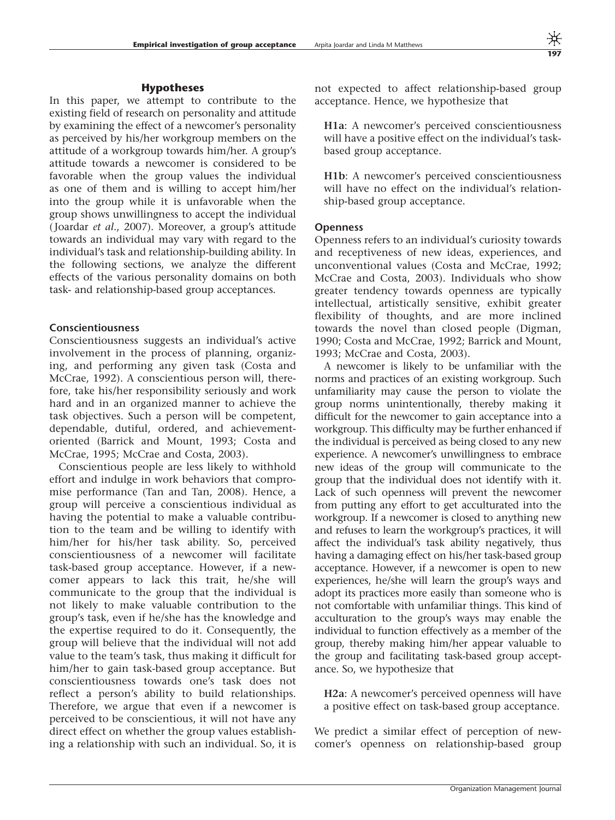#### Hypotheses

In this paper, we attempt to contribute to the existing field of research on personality and attitude by examining the effect of a newcomer's personality as perceived by his/her workgroup members on the attitude of a workgroup towards him/her. A group's attitude towards a newcomer is considered to be favorable when the group values the individual as one of them and is willing to accept him/her into the group while it is unfavorable when the group shows unwillingness to accept the individual ( Joardar et al., 2007). Moreover, a group's attitude towards an individual may vary with regard to the individual's task and relationship-building ability. In the following sections, we analyze the different effects of the various personality domains on both task- and relationship-based group acceptances.

#### Conscientiousness

Conscientiousness suggests an individual's active involvement in the process of planning, organizing, and performing any given task (Costa and McCrae, 1992). A conscientious person will, therefore, take his/her responsibility seriously and work hard and in an organized manner to achieve the task objectives. Such a person will be competent, dependable, dutiful, ordered, and achievementoriented (Barrick and Mount, 1993; Costa and McCrae, 1995; McCrae and Costa, 2003).

Conscientious people are less likely to withhold effort and indulge in work behaviors that compromise performance (Tan and Tan, 2008). Hence, a group will perceive a conscientious individual as having the potential to make a valuable contribution to the team and be willing to identify with him/her for his/her task ability. So, perceived conscientiousness of a newcomer will facilitate task-based group acceptance. However, if a newcomer appears to lack this trait, he/she will communicate to the group that the individual is not likely to make valuable contribution to the group's task, even if he/she has the knowledge and the expertise required to do it. Consequently, the group will believe that the individual will not add value to the team's task, thus making it difficult for him/her to gain task-based group acceptance. But conscientiousness towards one's task does not reflect a person's ability to build relationships. Therefore, we argue that even if a newcomer is perceived to be conscientious, it will not have any direct effect on whether the group values establishing a relationship with such an individual. So, it is not expected to affect relationship-based group acceptance. Hence, we hypothesize that

H1a: A newcomer's perceived conscientiousness will have a positive effect on the individual's taskbased group acceptance.

H1b: A newcomer's perceived conscientiousness will have no effect on the individual's relationship-based group acceptance.

#### **Openness**

Openness refers to an individual's curiosity towards and receptiveness of new ideas, experiences, and unconventional values (Costa and McCrae, 1992; McCrae and Costa, 2003). Individuals who show greater tendency towards openness are typically intellectual, artistically sensitive, exhibit greater flexibility of thoughts, and are more inclined towards the novel than closed people (Digman, 1990; Costa and McCrae, 1992; Barrick and Mount, 1993; McCrae and Costa, 2003).

A newcomer is likely to be unfamiliar with the norms and practices of an existing workgroup. Such unfamiliarity may cause the person to violate the group norms unintentionally, thereby making it difficult for the newcomer to gain acceptance into a workgroup. This difficulty may be further enhanced if the individual is perceived as being closed to any new experience. A newcomer's unwillingness to embrace new ideas of the group will communicate to the group that the individual does not identify with it. Lack of such openness will prevent the newcomer from putting any effort to get acculturated into the workgroup. If a newcomer is closed to anything new and refuses to learn the workgroup's practices, it will affect the individual's task ability negatively, thus having a damaging effect on his/her task-based group acceptance. However, if a newcomer is open to new experiences, he/she will learn the group's ways and adopt its practices more easily than someone who is not comfortable with unfamiliar things. This kind of acculturation to the group's ways may enable the individual to function effectively as a member of the group, thereby making him/her appear valuable to the group and facilitating task-based group acceptance. So, we hypothesize that

H2a: A newcomer's perceived openness will have a positive effect on task-based group acceptance.

We predict a similar effect of perception of newcomer's openness on relationship-based group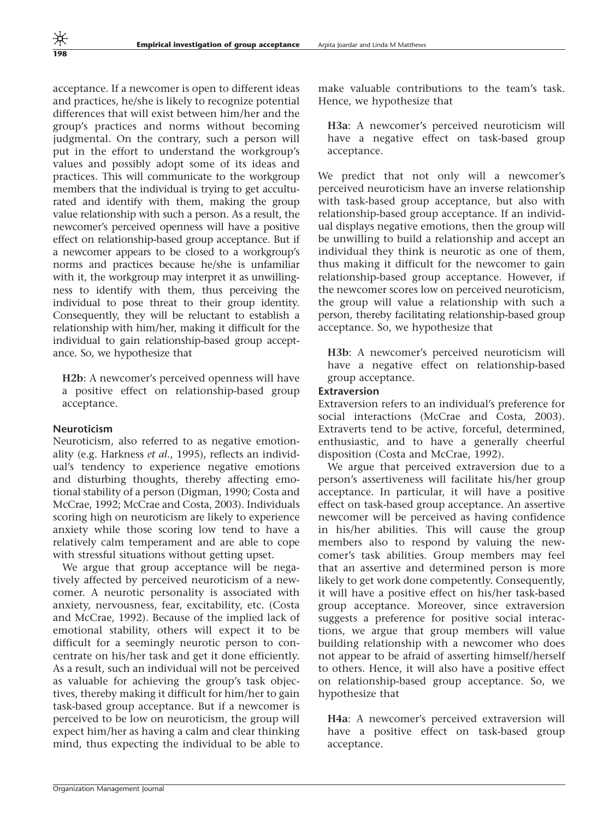acceptance. If a newcomer is open to different ideas and practices, he/she is likely to recognize potential differences that will exist between him/her and the group's practices and norms without becoming judgmental. On the contrary, such a person will put in the effort to understand the workgroup's values and possibly adopt some of its ideas and practices. This will communicate to the workgroup members that the individual is trying to get acculturated and identify with them, making the group value relationship with such a person. As a result, the newcomer's perceived openness will have a positive effect on relationship-based group acceptance. But if a newcomer appears to be closed to a workgroup's norms and practices because he/she is unfamiliar with it, the workgroup may interpret it as unwillingness to identify with them, thus perceiving the individual to pose threat to their group identity. Consequently, they will be reluctant to establish a relationship with him/her, making it difficult for the individual to gain relationship-based group acceptance. So, we hypothesize that

H2b: A newcomer's perceived openness will have a positive effect on relationship-based group acceptance.

#### Neuroticism

Neuroticism, also referred to as negative emotionality (e.g. Harkness et al., 1995), reflects an individual's tendency to experience negative emotions and disturbing thoughts, thereby affecting emotional stability of a person (Digman, 1990; Costa and McCrae, 1992; McCrae and Costa, 2003). Individuals scoring high on neuroticism are likely to experience anxiety while those scoring low tend to have a relatively calm temperament and are able to cope with stressful situations without getting upset.

We argue that group acceptance will be negatively affected by perceived neuroticism of a newcomer. A neurotic personality is associated with anxiety, nervousness, fear, excitability, etc. (Costa and McCrae, 1992). Because of the implied lack of emotional stability, others will expect it to be difficult for a seemingly neurotic person to concentrate on his/her task and get it done efficiently. As a result, such an individual will not be perceived as valuable for achieving the group's task objectives, thereby making it difficult for him/her to gain task-based group acceptance. But if a newcomer is perceived to be low on neuroticism, the group will expect him/her as having a calm and clear thinking mind, thus expecting the individual to be able to make valuable contributions to the team's task. Hence, we hypothesize that

H3a: A newcomer's perceived neuroticism will have a negative effect on task-based group acceptance.

We predict that not only will a newcomer's perceived neuroticism have an inverse relationship with task-based group acceptance, but also with relationship-based group acceptance. If an individual displays negative emotions, then the group will be unwilling to build a relationship and accept an individual they think is neurotic as one of them, thus making it difficult for the newcomer to gain relationship-based group acceptance. However, if the newcomer scores low on perceived neuroticism, the group will value a relationship with such a person, thereby facilitating relationship-based group acceptance. So, we hypothesize that

H3b: A newcomer's perceived neuroticism will have a negative effect on relationship-based group acceptance.

#### Extraversion

Extraversion refers to an individual's preference for social interactions (McCrae and Costa, 2003). Extraverts tend to be active, forceful, determined, enthusiastic, and to have a generally cheerful disposition (Costa and McCrae, 1992).

We argue that perceived extraversion due to a person's assertiveness will facilitate his/her group acceptance. In particular, it will have a positive effect on task-based group acceptance. An assertive newcomer will be perceived as having confidence in his/her abilities. This will cause the group members also to respond by valuing the newcomer's task abilities. Group members may feel that an assertive and determined person is more likely to get work done competently. Consequently, it will have a positive effect on his/her task-based group acceptance. Moreover, since extraversion suggests a preference for positive social interactions, we argue that group members will value building relationship with a newcomer who does not appear to be afraid of asserting himself/herself to others. Hence, it will also have a positive effect on relationship-based group acceptance. So, we hypothesize that

H4a: A newcomer's perceived extraversion will have a positive effect on task-based group acceptance.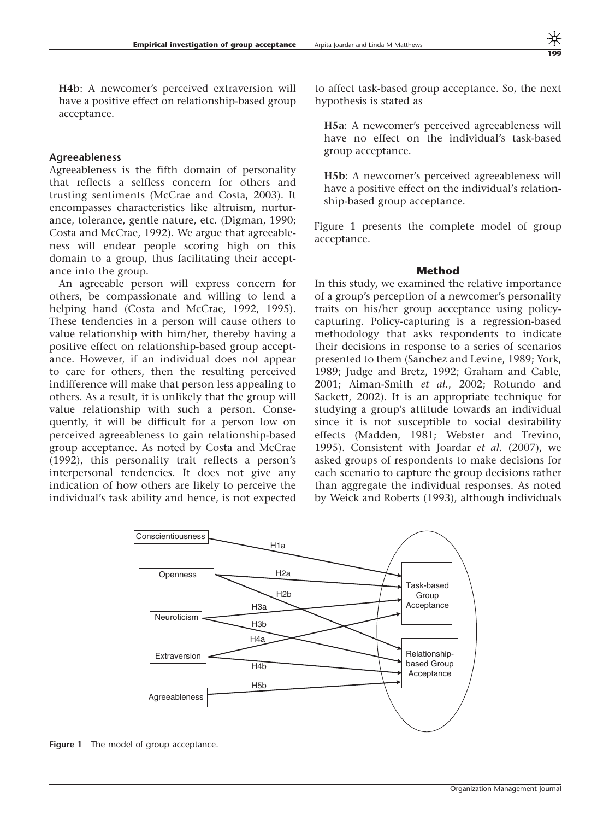H4b: A newcomer's perceived extraversion will have a positive effect on relationship-based group acceptance.

#### Agreeableness

Agreeableness is the fifth domain of personality that reflects a selfless concern for others and trusting sentiments (McCrae and Costa, 2003). It encompasses characteristics like altruism, nurturance, tolerance, gentle nature, etc. (Digman, 1990; Costa and McCrae, 1992). We argue that agreeableness will endear people scoring high on this domain to a group, thus facilitating their acceptance into the group.

An agreeable person will express concern for others, be compassionate and willing to lend a helping hand (Costa and McCrae, 1992, 1995). These tendencies in a person will cause others to value relationship with him/her, thereby having a positive effect on relationship-based group acceptance. However, if an individual does not appear to care for others, then the resulting perceived indifference will make that person less appealing to others. As a result, it is unlikely that the group will value relationship with such a person. Consequently, it will be difficult for a person low on perceived agreeableness to gain relationship-based group acceptance. As noted by Costa and McCrae (1992), this personality trait reflects a person's interpersonal tendencies. It does not give any indication of how others are likely to perceive the individual's task ability and hence, is not expected to affect task-based group acceptance. So, the next hypothesis is stated as

H5a: A newcomer's perceived agreeableness will have no effect on the individual's task-based group acceptance.

H5b: A newcomer's perceived agreeableness will have a positive effect on the individual's relationship-based group acceptance.

Figure 1 presents the complete model of group acceptance.

#### Method

In this study, we examined the relative importance of a group's perception of a newcomer's personality traits on his/her group acceptance using policycapturing. Policy-capturing is a regression-based methodology that asks respondents to indicate their decisions in response to a series of scenarios presented to them (Sanchez and Levine, 1989; York, 1989; Judge and Bretz, 1992; Graham and Cable, 2001; Aiman-Smith et al., 2002; Rotundo and Sackett, 2002). It is an appropriate technique for studying a group's attitude towards an individual since it is not susceptible to social desirability effects (Madden, 1981; Webster and Trevino, 1995). Consistent with Joardar et al. (2007), we asked groups of respondents to make decisions for each scenario to capture the group decisions rather than aggregate the individual responses. As noted by Weick and Roberts (1993), although individuals



Figure 1 The model of group acceptance.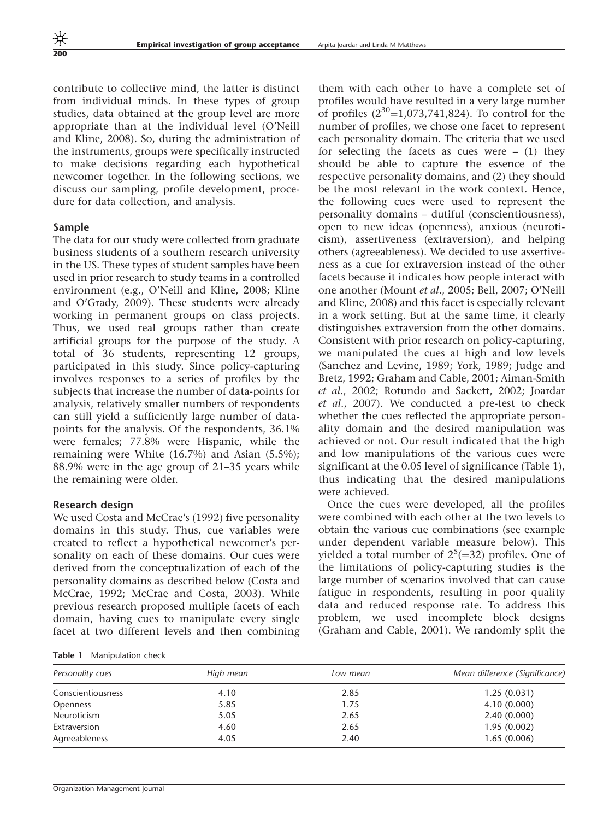contribute to collective mind, the latter is distinct from individual minds. In these types of group studies, data obtained at the group level are more appropriate than at the individual level (O'Neill and Kline, 2008). So, during the administration of the instruments, groups were specifically instructed to make decisions regarding each hypothetical newcomer together. In the following sections, we discuss our sampling, profile development, procedure for data collection, and analysis.

#### Sample

The data for our study were collected from graduate business students of a southern research university in the US. These types of student samples have been used in prior research to study teams in a controlled environment (e.g., O'Neill and Kline, 2008; Kline and O'Grady, 2009). These students were already working in permanent groups on class projects. Thus, we used real groups rather than create artificial groups for the purpose of the study. A total of 36 students, representing 12 groups, participated in this study. Since policy-capturing involves responses to a series of profiles by the subjects that increase the number of data-points for analysis, relatively smaller numbers of respondents can still yield a sufficiently large number of datapoints for the analysis. Of the respondents, 36.1% were females; 77.8% were Hispanic, while the remaining were White (16.7%) and Asian (5.5%); 88.9% were in the age group of 21–35 years while the remaining were older.

#### Research design

We used Costa and McCrae's (1992) five personality domains in this study. Thus, cue variables were created to reflect a hypothetical newcomer's personality on each of these domains. Our cues were derived from the conceptualization of each of the personality domains as described below (Costa and McCrae, 1992; McCrae and Costa, 2003). While previous research proposed multiple facets of each domain, having cues to manipulate every single facet at two different levels and then combining

them with each other to have a complete set of profiles would have resulted in a very large number of profiles  $(2^{30} = 1,073,741,824)$ . To control for the number of profiles, we chose one facet to represent each personality domain. The criteria that we used for selecting the facets as cues were  $-$  (1) they should be able to capture the essence of the respective personality domains, and (2) they should be the most relevant in the work context. Hence, the following cues were used to represent the personality domains – dutiful (conscientiousness), open to new ideas (openness), anxious (neuroticism), assertiveness (extraversion), and helping others (agreeableness). We decided to use assertiveness as a cue for extraversion instead of the other facets because it indicates how people interact with one another (Mount et al., 2005; Bell, 2007; O'Neill and Kline, 2008) and this facet is especially relevant in a work setting. But at the same time, it clearly distinguishes extraversion from the other domains. Consistent with prior research on policy-capturing, we manipulated the cues at high and low levels (Sanchez and Levine, 1989; York, 1989; Judge and Bretz, 1992; Graham and Cable, 2001; Aiman-Smith et al., 2002; Rotundo and Sackett, 2002; Joardar et al., 2007). We conducted a pre-test to check whether the cues reflected the appropriate personality domain and the desired manipulation was achieved or not. Our result indicated that the high and low manipulations of the various cues were significant at the 0.05 level of significance (Table 1), thus indicating that the desired manipulations were achieved.

Once the cues were developed, all the profiles were combined with each other at the two levels to obtain the various cue combinations (see example under dependent variable measure below). This yielded a total number of  $2^5 (=32)$  profiles. One of the limitations of policy-capturing studies is the large number of scenarios involved that can cause fatigue in respondents, resulting in poor quality data and reduced response rate. To address this problem, we used incomplete block designs (Graham and Cable, 2001). We randomly split the

| $\ldots$          |           |          |                                |  |  |
|-------------------|-----------|----------|--------------------------------|--|--|
| Personality cues  | High mean | Low mean | Mean difference (Significance) |  |  |
| Conscientiousness | 4.10      | 2.85     | 1.25(0.031)                    |  |  |
| Openness          | 5.85      | 1.75     | 4.10(0.000)                    |  |  |
| Neuroticism       | 5.05      | 2.65     | 2.40(0.000)                    |  |  |
| Extraversion      | 4.60      | 2.65     | 1.95(0.002)                    |  |  |
| Agreeableness     | 4.05      | 2.40     | 1.65(0.006)                    |  |  |
|                   |           |          |                                |  |  |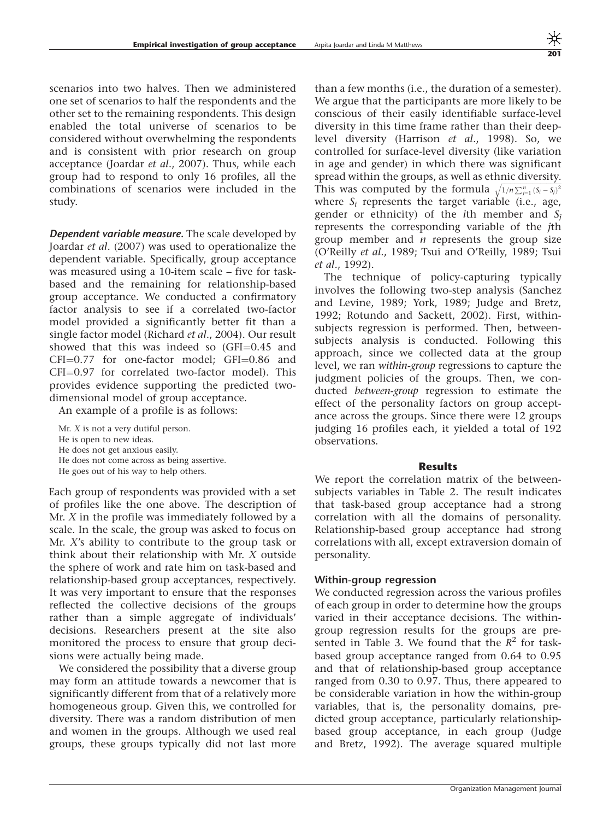scenarios into two halves. Then we administered one set of scenarios to half the respondents and the other set to the remaining respondents. This design enabled the total universe of scenarios to be considered without overwhelming the respondents and is consistent with prior research on group acceptance (Joardar et al., 2007). Thus, while each group had to respond to only 16 profiles, all the combinations of scenarios were included in the study.

**Dependent variable measure.** The scale developed by Joardar et al. (2007) was used to operationalize the dependent variable. Specifically, group acceptance was measured using a 10-item scale – five for taskbased and the remaining for relationship-based group acceptance. We conducted a confirmatory factor analysis to see if a correlated two-factor model provided a significantly better fit than a single factor model (Richard et al., 2004). Our result showed that this was indeed so  $(GFI=0.45$  and  $CFI=0.77$  for one-factor model;  $GFI=0.86$  and CFI=0.97 for correlated two-factor model). This provides evidence supporting the predicted twodimensional model of group acceptance.

An example of a profile is as follows:

Mr. X is not a very dutiful person. He is open to new ideas. He does not get anxious easily. He does not come across as being assertive.

He goes out of his way to help others.

Each group of respondents was provided with a set of profiles like the one above. The description of Mr.  $X$  in the profile was immediately followed by a scale. In the scale, the group was asked to focus on Mr. X's ability to contribute to the group task or think about their relationship with Mr. X outside the sphere of work and rate him on task-based and relationship-based group acceptances, respectively. It was very important to ensure that the responses reflected the collective decisions of the groups rather than a simple aggregate of individuals' decisions. Researchers present at the site also monitored the process to ensure that group decisions were actually being made.

We considered the possibility that a diverse group may form an attitude towards a newcomer that is significantly different from that of a relatively more homogeneous group. Given this, we controlled for diversity. There was a random distribution of men and women in the groups. Although we used real groups, these groups typically did not last more

than a few months (i.e., the duration of a semester). We argue that the participants are more likely to be conscious of their easily identifiable surface-level diversity in this time frame rather than their deeplevel diversity (Harrison et al., 1998). So, we controlled for surface-level diversity (like variation in age and gender) in which there was significant spread within the groups, as well as ethnic diversity. This was computed by the formula  $\sqrt{1/n} \sum_{j=1}^{n} (S_i - S_j)^2$ where  $S_i$  represents the target variable (i.e., age, gender or ethnicity) of the *i*th member and  $S_i$ represents the corresponding variable of the jth group member and  $n$  represents the group size (O'Reilly et al., 1989; Tsui and O'Reilly, 1989; Tsui et al., 1992).

The technique of policy-capturing typically involves the following two-step analysis (Sanchez and Levine, 1989; York, 1989; Judge and Bretz, 1992; Rotundo and Sackett, 2002). First, withinsubjects regression is performed. Then, betweensubjects analysis is conducted. Following this approach, since we collected data at the group level, we ran within-group regressions to capture the judgment policies of the groups. Then, we conducted between-group regression to estimate the effect of the personality factors on group acceptance across the groups. Since there were 12 groups judging 16 profiles each, it yielded a total of 192 observations.

#### **Results**

We report the correlation matrix of the betweensubjects variables in Table 2. The result indicates that task-based group acceptance had a strong correlation with all the domains of personality. Relationship-based group acceptance had strong correlations with all, except extraversion domain of personality.

#### Within-group regression

We conducted regression across the various profiles of each group in order to determine how the groups varied in their acceptance decisions. The withingroup regression results for the groups are presented in Table 3. We found that the  $R^2$  for taskbased group acceptance ranged from 0.64 to 0.95 and that of relationship-based group acceptance ranged from 0.30 to 0.97. Thus, there appeared to be considerable variation in how the within-group variables, that is, the personality domains, predicted group acceptance, particularly relationshipbased group acceptance, in each group (Judge and Bretz, 1992). The average squared multiple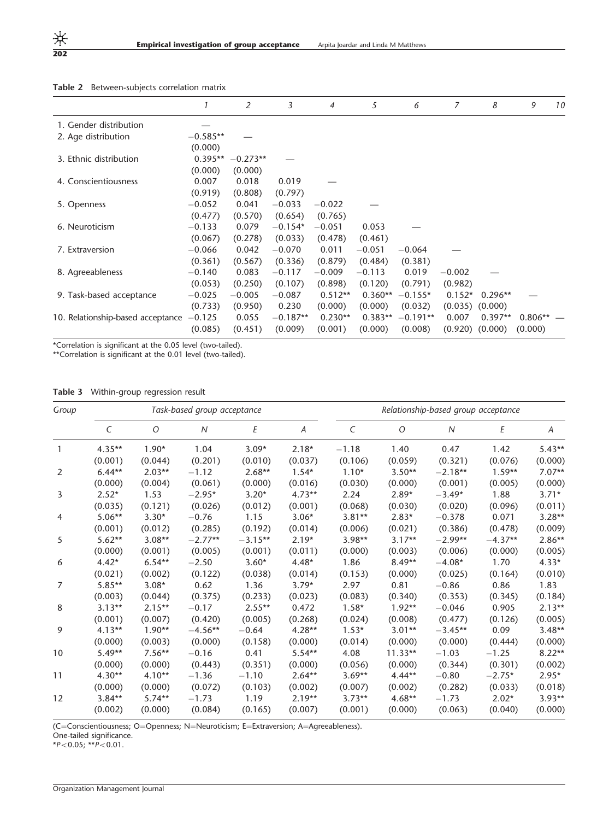|                                   |            | 2          | 3          | 4         | 5         | 6          | 7        | 8         | 9         | 10 |
|-----------------------------------|------------|------------|------------|-----------|-----------|------------|----------|-----------|-----------|----|
| 1. Gender distribution            |            |            |            |           |           |            |          |           |           |    |
| 2. Age distribution               | $-0.585**$ |            |            |           |           |            |          |           |           |    |
|                                   | (0.000)    |            |            |           |           |            |          |           |           |    |
| 3. Ethnic distribution            | $0.395**$  | $-0.273**$ |            |           |           |            |          |           |           |    |
|                                   | (0.000)    | (0.000)    |            |           |           |            |          |           |           |    |
| 4. Conscientiousness              | 0.007      | 0.018      | 0.019      |           |           |            |          |           |           |    |
|                                   | (0.919)    | (0.808)    | (0.797)    |           |           |            |          |           |           |    |
| 5. Openness                       | $-0.052$   | 0.041      | $-0.033$   | $-0.022$  |           |            |          |           |           |    |
|                                   | (0.477)    | (0.570)    | (0.654)    | (0.765)   |           |            |          |           |           |    |
| 6. Neuroticism                    | $-0.133$   | 0.079      | $-0.154*$  | $-0.051$  | 0.053     |            |          |           |           |    |
|                                   | (0.067)    | (0.278)    | (0.033)    | (0.478)   | (0.461)   |            |          |           |           |    |
| 7. Extraversion                   | $-0.066$   | 0.042      | $-0.070$   | 0.011     | $-0.051$  | $-0.064$   |          |           |           |    |
|                                   | (0.361)    | (0.567)    | (0.336)    | (0.879)   | (0.484)   | (0.381)    |          |           |           |    |
| 8. Agreeableness                  | $-0.140$   | 0.083      | $-0.117$   | $-0.009$  | $-0.113$  | 0.019      | $-0.002$ |           |           |    |
|                                   | (0.053)    | (0.250)    | (0.107)    | (0.898)   | (0.120)   | (0.791)    | (0.982)  |           |           |    |
| 9. Task-based acceptance          | $-0.025$   | $-0.005$   | $-0.087$   | $0.512**$ | $0.360**$ | $-0.155*$  | $0.152*$ | $0.296**$ |           |    |
|                                   | (0.733)    | (0.950)    | 0.230      | (0.000)   | (0.000)   | (0.032)    | (0.035)  | (0.000)   |           |    |
| 10. Relationship-based acceptance | $-0.125$   | 0.055      | $-0.187**$ | $0.230**$ | $0.383**$ | $-0.191**$ | 0.007    | $0.397**$ | $0.806**$ |    |
|                                   | (0.085)    | (0.451)    | (0.009)    | (0.001)   | (0.000)   | (0.008)    | (0.920)  | (0.000)   | (0.000)   |    |

#### Table 2 Between-subjects correlation matrix

\*Correlation is significant at the 0.05 level (two-tailed).

\*\*Correlation is significant at the 0.01 level (two-tailed).

| Table 3 |  | Within-group regression result |  |
|---------|--|--------------------------------|--|
|         |  |                                |  |

| Group        |               |           | Task-based group acceptance |           |                |          |           | Relationship-based group acceptance |           |          |
|--------------|---------------|-----------|-----------------------------|-----------|----------------|----------|-----------|-------------------------------------|-----------|----------|
|              | $\mathcal{C}$ | $\Omega$  | N                           | Ε         | $\overline{A}$ | C        | O         | N                                   | Ε         | Α        |
| $\mathbf{1}$ | $4.35**$      | $1.90*$   | 1.04                        | $3.09*$   | $2.18*$        | $-1.18$  | 1.40      | 0.47                                | 1.42      | $5.43**$ |
|              | (0.001)       | (0.044)   | (0.201)                     | (0.010)   | (0.037)        | (0.106)  | (0.059)   | (0.321)                             | (0.076)   | (0.000)  |
| 2            | $6.44**$      | $2.03**$  | $-1.12$                     | $2.68**$  | $1.54*$        | $1.10*$  | $3.50**$  | $-2.18**$                           | $1.59**$  | $7.07**$ |
|              | (0.000)       | (0.004)   | (0.061)                     | (0.000)   | (0.016)        | (0.030)  | (0.000)   | (0.001)                             | (0.005)   | (0.000)  |
| 3            | $2.52*$       | 1.53      | $-2.95*$                    | $3.20*$   | $4.73**$       | 2.24     | $2.89*$   | $-3.49*$                            | 1.88      | $3.71*$  |
|              | (0.035)       | (0.121)   | (0.026)                     | (0.012)   | (0.001)        | (0.068)  | (0.030)   | (0.020)                             | (0.096)   | (0.011)  |
| 4            | $5.06**$      | $3.30*$   | $-0.76$                     | 1.15      | $3.06*$        | $3.81**$ | $2.83*$   | $-0.378$                            | 0.071     | $3.28**$ |
|              | (0.001)       | (0.012)   | (0.285)                     | (0.192)   | (0.014)        | (0.006)  | (0.021)   | (0.386)                             | (0.478)   | (0.009)  |
| 5            | $5.62**$      | $3.08**$  | $-2.77**$                   | $-3.15**$ | $2.19*$        | $3.98**$ | $3.17**$  | $-2.99**$                           | $-4.37**$ | $2.86**$ |
|              | (0.000)       | (0.001)   | (0.005)                     | (0.001)   | (0.011)        | (0.000)  | (0.003)   | (0.006)                             | (0.000)   | (0.005)  |
| 6            | $4.42*$       | $6.54**$  | $-2.50$                     | $3.60*$   | $4.48*$        | 1.86     | $8.49**$  | $-4.08*$                            | 1.70      | $4.33*$  |
|              | (0.021)       | (0.002)   | (0.122)                     | (0.038)   | (0.014)        | (0.153)  | (0.000)   | (0.025)                             | (0.164)   | (0.010)  |
| 7            | $5.85**$      | $3.08*$   | 0.62                        | 1.36      | $3.79*$        | 2.97     | 0.81      | $-0.86$                             | 0.86      | 1.83     |
|              | (0.003)       | (0.044)   | (0.375)                     | (0.233)   | (0.023)        | (0.083)  | (0.340)   | (0.353)                             | (0.345)   | (0.184)  |
| 8            | $3.13**$      | $2.15***$ | $-0.17$                     | $2.55***$ | 0.472          | $1.58*$  | $1.92**$  | $-0.046$                            | 0.905     | $2.13**$ |
|              | (0.001)       | (0.007)   | (0.420)                     | (0.005)   | (0.268)        | (0.024)  | (0.008)   | (0.477)                             | (0.126)   | (0.005)  |
| 9            | $4.13**$      | $1.90**$  | $-4.56**$                   | $-0.64$   | $4.28**$       | $1.53*$  | $3.01**$  | $-3.45**$                           | 0.09      | $3.48**$ |
|              | (0.000)       | (0.003)   | (0.000)                     | (0.158)   | (0.000)        | (0.014)  | (0.000)   | (0.000)                             | (0.444)   | (0.000)  |
| 10           | $5.49**$      | $7.56**$  | $-0.16$                     | 0.41      | $5.54**$       | 4.08     | $11.33**$ | $-1.03$                             | $-1.25$   | $8.22**$ |
|              | (0.000)       | (0.000)   | (0.443)                     | (0.351)   | (0.000)        | (0.056)  | (0.000)   | (0.344)                             | (0.301)   | (0.002)  |
| 11           | $4.30**$      | $4.10**$  | $-1.36$                     | $-1.10$   | $2.64**$       | $3.69**$ | $4.44**$  | $-0.80$                             | $-2.75*$  | $2.95*$  |
|              | (0.000)       | (0.000)   | (0.072)                     | (0.103)   | (0.002)        | (0.007)  | (0.002)   | (0.282)                             | (0.033)   | (0.018)  |
| 12           | $3.84**$      | $5.74**$  | $-1.73$                     | 1.19      | $2.19**$       | $3.73**$ | $4.68**$  | $-1.73$                             | $2.02*$   | $3.93**$ |
|              | (0.002)       | (0.000)   | (0.084)                     | (0.165)   | (0.007)        | (0.001)  | (0.000)   | (0.063)                             | (0.040)   | (0.000)  |

(C=Conscientiousness; O=Openness; N=Neuroticism; E=Extraversion; A=Agreeableness).

One-tailed significance.

\* $P < 0.05$ ; \*\* $P < 0.01$ .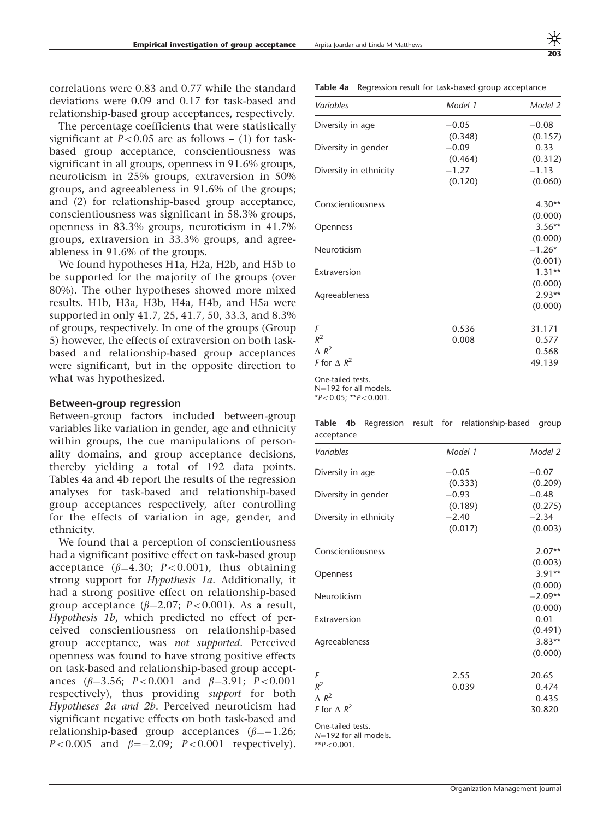correlations were 0.83 and 0.77 while the standard deviations were 0.09 and 0.17 for task-based and relationship-based group acceptances, respectively.

The percentage coefficients that were statistically significant at  $P<0.05$  are as follows – (1) for taskbased group acceptance, conscientiousness was significant in all groups, openness in 91.6% groups, neuroticism in 25% groups, extraversion in 50% groups, and agreeableness in 91.6% of the groups; and (2) for relationship-based group acceptance, conscientiousness was significant in 58.3% groups, openness in 83.3% groups, neuroticism in 41.7% groups, extraversion in 33.3% groups, and agreeableness in 91.6% of the groups.

We found hypotheses H1a, H2a, H2b, and H5b to be supported for the majority of the groups (over 80%). The other hypotheses showed more mixed results. H1b, H3a, H3b, H4a, H4b, and H5a were supported in only 41.7, 25, 41.7, 50, 33.3, and 8.3% of groups, respectively. In one of the groups (Group 5) however, the effects of extraversion on both taskbased and relationship-based group acceptances were significant, but in the opposite direction to what was hypothesized.

#### Between-group regression

Between-group factors included between-group variables like variation in gender, age and ethnicity within groups, the cue manipulations of personality domains, and group acceptance decisions, thereby yielding a total of 192 data points. Tables 4a and 4b report the results of the regression analyses for task-based and relationship-based group acceptances respectively, after controlling for the effects of variation in age, gender, and ethnicity.

We found that a perception of conscientiousness had a significant positive effect on task-based group acceptance ( $\beta$ =4.30; P<0.001), thus obtaining strong support for Hypothesis 1a. Additionally, it had a strong positive effect on relationship-based group acceptance ( $\beta$ =2.07; P<0.001). As a result, Hypothesis 1b, which predicted no effect of perceived conscientiousness on relationship-based group acceptance, was not supported. Perceived openness was found to have strong positive effects on task-based and relationship-based group acceptances ( $\beta$ =3.56; P<0.001 and  $\beta$ =3.91; P<0.001 respectively), thus providing support for both Hypotheses 2a and 2b. Perceived neuroticism had significant negative effects on both task-based and relationship-based group acceptances ( $\beta$ = $-1.26$ ;  $P<0.005$  and  $\beta=-2.09; P<0.001$  respectively).

|  | Table 4a Regression result for task-based group acceptance |  |  |  |  |
|--|------------------------------------------------------------|--|--|--|--|
|--|------------------------------------------------------------|--|--|--|--|

| Variables              | Model 1 | Model 2  |
|------------------------|---------|----------|
| Diversity in age       | $-0.05$ | $-0.08$  |
|                        | (0.348) | (0.157)  |
| Diversity in gender    | $-0.09$ | 0.33     |
|                        | (0.464) | (0.312)  |
| Diversity in ethnicity | $-1.27$ | $-1.13$  |
|                        | (0.120) | (0.060)  |
| Conscientiousness      |         | $4.30**$ |
|                        |         | (0.000)  |
| Openness               |         | $3.56**$ |
|                        |         | (0.000)  |
| Neuroticism            |         | $-1.26*$ |
|                        |         | (0.001)  |
| Extraversion           |         | $1.31**$ |
|                        |         | (0.000)  |
| Agreeableness          |         | $2.93**$ |
|                        |         | (0.000)  |
| F                      | 0.536   | 31.171   |
| $R^2$                  | 0.008   | 0.577    |
| $\Lambda$ $R^2$        |         | 0.568    |
| F for $\triangle R^2$  |         | 49.139   |

One-tailed tests.

 $N=192$  for all models.

 $*P<0.05$ ;  $*P<0.001$ .

Table 4b Regression result for relationship-based group acceptance

| Variables              | Model 1 | Model 2   |
|------------------------|---------|-----------|
| Diversity in age       | $-0.05$ | $-0.07$   |
|                        | (0.333) | (0.209)   |
| Diversity in gender    | $-0.93$ | $-0.48$   |
|                        | (0.189) | (0.275)   |
| Diversity in ethnicity | $-2.40$ | $-2.34$   |
|                        | (0.017) | (0.003)   |
| Conscientiousness      |         | $2.07**$  |
|                        |         | (0.003)   |
| Openness               |         | $3.91**$  |
|                        |         | (0.000)   |
| Neuroticism            |         | $-2.09**$ |
|                        |         | (0.000)   |
| Extraversion           |         | 0.01      |
|                        |         | (0.491)   |
| Agreeableness          |         | $3.83**$  |
|                        |         | (0.000)   |
| F                      | 2.55    | 20.65     |
| $R^2$                  | 0.039   | 0.474     |
| $\triangle R^2$        |         | 0.435     |
| F for $\triangle R^2$  |         | 30.820    |

One-tailed tests.

 $N=192$  for all models.

 $*$  $P < 0.001$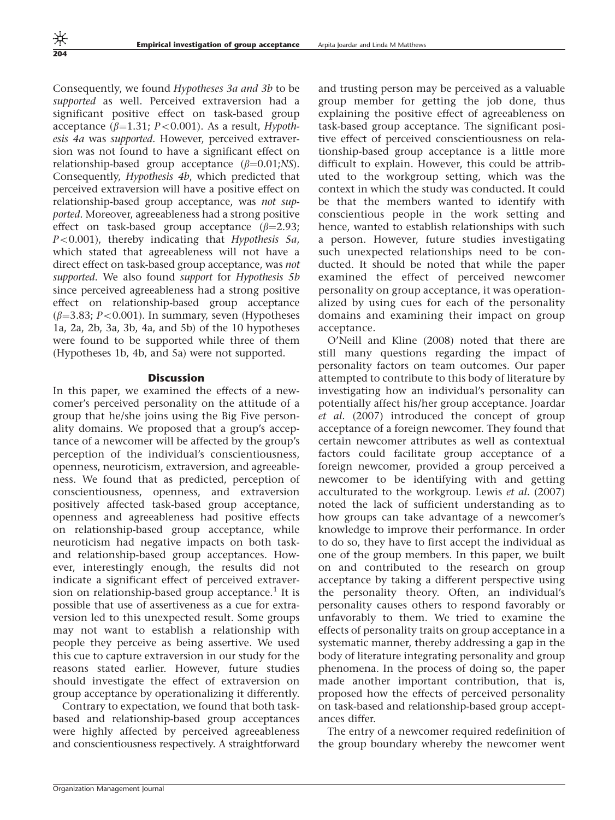Consequently, we found Hypotheses 3a and 3b to be supported as well. Perceived extraversion had a significant positive effect on task-based group acceptance ( $\beta$ =1.31; P<0.001). As a result, Hypothesis 4a was supported. However, perceived extraversion was not found to have a significant effect on relationship-based group acceptance  $(\beta=0.01;NS)$ . Consequently, Hypothesis 4b, which predicted that perceived extraversion will have a positive effect on relationship-based group acceptance, was not supported. Moreover, agreeableness had a strong positive effect on task-based group acceptance  $(\beta=2.93;$  $P<0.001$ ), thereby indicating that *Hypothesis 5a*, which stated that agreeableness will not have a direct effect on task-based group acceptance, was not supported. We also found support for Hypothesis 5b since perceived agreeableness had a strong positive effect on relationship-based group acceptance ( $\beta$ =3.83; P<0.001). In summary, seven (Hypotheses 1a, 2a, 2b, 3a, 3b, 4a, and 5b) of the 10 hypotheses were found to be supported while three of them (Hypotheses 1b, 4b, and 5a) were not supported.

#### Discussion

In this paper, we examined the effects of a newcomer's perceived personality on the attitude of a group that he/she joins using the Big Five personality domains. We proposed that a group's acceptance of a newcomer will be affected by the group's perception of the individual's conscientiousness, openness, neuroticism, extraversion, and agreeableness. We found that as predicted, perception of conscientiousness, openness, and extraversion positively affected task-based group acceptance, openness and agreeableness had positive effects on relationship-based group acceptance, while neuroticism had negative impacts on both taskand relationship-based group acceptances. However, interestingly enough, the results did not indicate a significant effect of perceived extraversion on relationship-based group acceptance.<sup>1</sup> It is possible that use of assertiveness as a cue for extraversion led to this unexpected result. Some groups may not want to establish a relationship with people they perceive as being assertive. We used this cue to capture extraversion in our study for the reasons stated earlier. However, future studies should investigate the effect of extraversion on group acceptance by operationalizing it differently.

Contrary to expectation, we found that both taskbased and relationship-based group acceptances were highly affected by perceived agreeableness and conscientiousness respectively. A straightforward and trusting person may be perceived as a valuable group member for getting the job done, thus explaining the positive effect of agreeableness on task-based group acceptance. The significant positive effect of perceived conscientiousness on relationship-based group acceptance is a little more difficult to explain. However, this could be attributed to the workgroup setting, which was the context in which the study was conducted. It could be that the members wanted to identify with conscientious people in the work setting and hence, wanted to establish relationships with such a person. However, future studies investigating such unexpected relationships need to be conducted. It should be noted that while the paper examined the effect of perceived newcomer personality on group acceptance, it was operationalized by using cues for each of the personality domains and examining their impact on group acceptance.

O'Neill and Kline (2008) noted that there are still many questions regarding the impact of personality factors on team outcomes. Our paper attempted to contribute to this body of literature by investigating how an individual's personality can potentially affect his/her group acceptance. Joardar et al. (2007) introduced the concept of group acceptance of a foreign newcomer. They found that certain newcomer attributes as well as contextual factors could facilitate group acceptance of a foreign newcomer, provided a group perceived a newcomer to be identifying with and getting acculturated to the workgroup. Lewis et al. (2007) noted the lack of sufficient understanding as to how groups can take advantage of a newcomer's knowledge to improve their performance. In order to do so, they have to first accept the individual as one of the group members. In this paper, we built on and contributed to the research on group acceptance by taking a different perspective using the personality theory. Often, an individual's personality causes others to respond favorably or unfavorably to them. We tried to examine the effects of personality traits on group acceptance in a systematic manner, thereby addressing a gap in the body of literature integrating personality and group phenomena. In the process of doing so, the paper made another important contribution, that is, proposed how the effects of perceived personality on task-based and relationship-based group acceptances differ.

The entry of a newcomer required redefinition of the group boundary whereby the newcomer went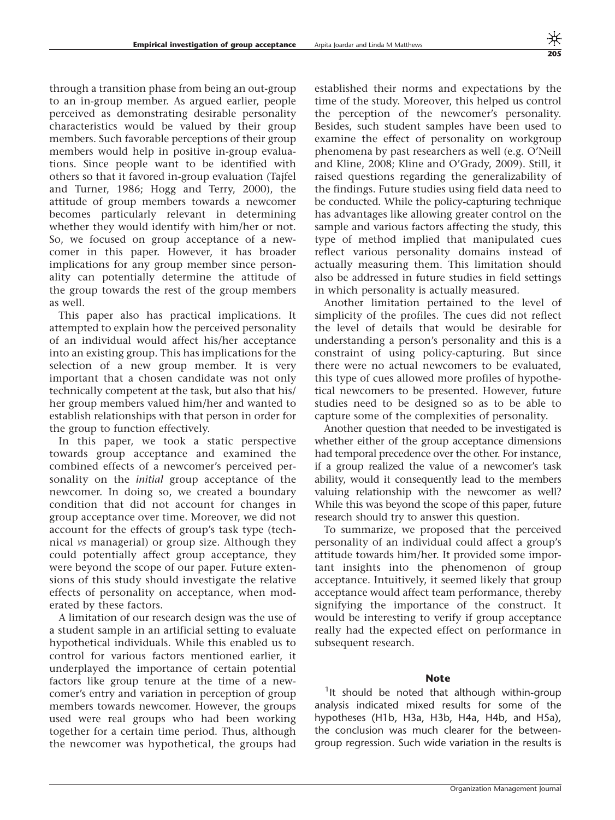205

through a transition phase from being an out-group to an in-group member. As argued earlier, people perceived as demonstrating desirable personality characteristics would be valued by their group members. Such favorable perceptions of their group members would help in positive in-group evaluations. Since people want to be identified with others so that it favored in-group evaluation (Tajfel and Turner, 1986; Hogg and Terry, 2000), the attitude of group members towards a newcomer becomes particularly relevant in determining whether they would identify with him/her or not. So, we focused on group acceptance of a newcomer in this paper. However, it has broader implications for any group member since personality can potentially determine the attitude of the group towards the rest of the group members as well.

This paper also has practical implications. It attempted to explain how the perceived personality of an individual would affect his/her acceptance into an existing group. This has implications for the selection of a new group member. It is very important that a chosen candidate was not only technically competent at the task, but also that his/ her group members valued him/her and wanted to establish relationships with that person in order for the group to function effectively.

In this paper, we took a static perspective towards group acceptance and examined the combined effects of a newcomer's perceived personality on the *initial* group acceptance of the newcomer. In doing so, we created a boundary condition that did not account for changes in group acceptance over time. Moreover, we did not account for the effects of group's task type (technical vs managerial) or group size. Although they could potentially affect group acceptance, they were beyond the scope of our paper. Future extensions of this study should investigate the relative effects of personality on acceptance, when moderated by these factors.

A limitation of our research design was the use of a student sample in an artificial setting to evaluate hypothetical individuals. While this enabled us to control for various factors mentioned earlier, it underplayed the importance of certain potential factors like group tenure at the time of a newcomer's entry and variation in perception of group members towards newcomer. However, the groups used were real groups who had been working together for a certain time period. Thus, although the newcomer was hypothetical, the groups had established their norms and expectations by the time of the study. Moreover, this helped us control the perception of the newcomer's personality. Besides, such student samples have been used to examine the effect of personality on workgroup phenomena by past researchers as well (e.g. O'Neill and Kline, 2008; Kline and O'Grady, 2009). Still, it raised questions regarding the generalizability of the findings. Future studies using field data need to be conducted. While the policy-capturing technique has advantages like allowing greater control on the sample and various factors affecting the study, this type of method implied that manipulated cues reflect various personality domains instead of actually measuring them. This limitation should also be addressed in future studies in field settings in which personality is actually measured.

Another limitation pertained to the level of simplicity of the profiles. The cues did not reflect the level of details that would be desirable for understanding a person's personality and this is a constraint of using policy-capturing. But since there were no actual newcomers to be evaluated, this type of cues allowed more profiles of hypothetical newcomers to be presented. However, future studies need to be designed so as to be able to capture some of the complexities of personality.

Another question that needed to be investigated is whether either of the group acceptance dimensions had temporal precedence over the other. For instance, if a group realized the value of a newcomer's task ability, would it consequently lead to the members valuing relationship with the newcomer as well? While this was beyond the scope of this paper, future research should try to answer this question.

To summarize, we proposed that the perceived personality of an individual could affect a group's attitude towards him/her. It provided some important insights into the phenomenon of group acceptance. Intuitively, it seemed likely that group acceptance would affect team performance, thereby signifying the importance of the construct. It would be interesting to verify if group acceptance really had the expected effect on performance in subsequent research.

#### **Note**

<sup>1</sup>It should be noted that although within-group analysis indicated mixed results for some of the hypotheses (H1b, H3a, H3b, H4a, H4b, and H5a), the conclusion was much clearer for the betweengroup regression. Such wide variation in the results is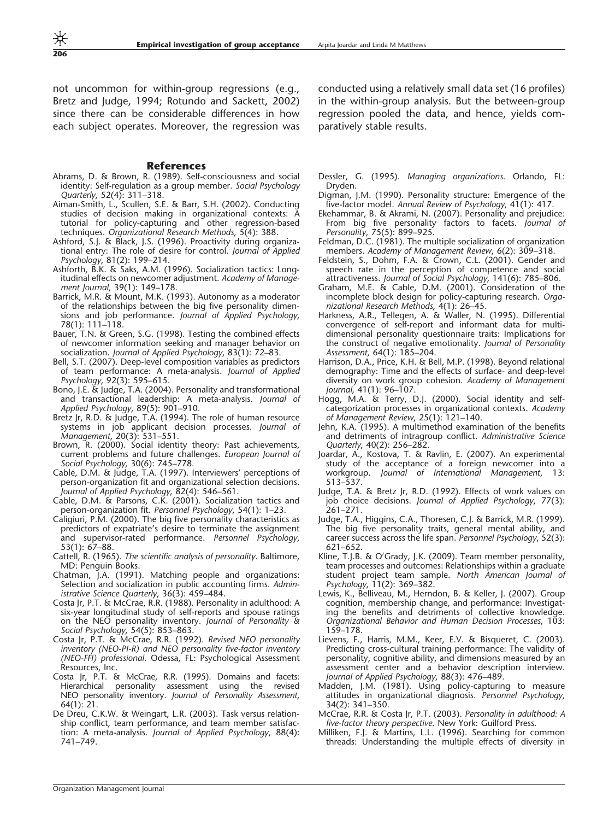not uncommon for within-group regressions (e.g., Bretz and Judge, 1994; Rotundo and Sackett, 2002) since there can be considerable differences in how each subject operates. Moreover, the regression was

#### References

- Abrams, D. & Brown, R. (1989). Self-consciousness and social identity: Self-regulation as a group member. Social Psychology Quarterly, 52(4): 311–318.
- Aiman-Smith, L., Scullen, S.E. & Barr, S.H. (2002). Conducting studies of decision making in organizational contexts: A tutorial for policy-capturing and other regression-based techniques. Organizational Research Methods, 5(4): 388.
- Ashford, S.J. & Black, J.S. (1996). Proactivity during organizational entry: The role of desire for control. Journal of Applied Psychology, 81(2): 199–214.
- Ashforth, B.K. & Saks, A.M. (1996). Socialization tactics: Longitudinal effects on newcomer adjustment. Academy of Management Journal, 39(1): 149–178.
- Barrick, M.R. & Mount, M.K. (1993). Autonomy as a moderator of the relationships between the big five personality dimensions and job performance. Journal of Applied Psychology, 78(1): 111–118.
- Bauer, T.N. & Green, S.G. (1998). Testing the combined effects of newcomer information seeking and manager behavior on socialization. Journal of Applied Psychology, 83(1): 72-83.
- Bell, S.T. (2007). Deep-level composition variables as predictors of team performance: A meta-analysis. Journal of Applied Psychology, 92(3): 595–615.
- Bono, J.E. & Judge, T.A. (2004). Personality and transformational and transactional leadership: A meta-analysis. Journal of Applied Psychology, 89(5): 901–910.
- Bretz Jr, R.D. & Judge, T.A. (1994). The role of human resource systems in job applicant decision processes. Journal of Management, 20(3): 531–551.
- Brown, R. (2000). Social identity theory: Past achievements, current problems and future challenges. European Journal of Social Psychology, 30(6): 745–778.
- Cable, D.M. & Judge, T.A. (1997). Interviewers' perceptions of person-organization fit and organizational selection decisions. Journal of Applied Psychology, 82(4): 546–561.
- Cable, D.M. & Parsons, C.K. (2001). Socialization tactics and person-organization fit. Personnel Psychology, 54(1): 1–23.
- Caligiuri, P.M. (2000). The big five personality characteristics as predictors of expatriate's desire to terminate the assignment and supervisor-rated performance. Personnel Psychology, 53(1): 67–88.
- Cattell, R. (1965). The scientific analysis of personality. Baltimore, MD: Penguin Books.
- Chatman, J.A. (1991). Matching people and organizations: Selection and socialization in public accounting firms. Administrative Science Quarterly, 36(3): 459–484.
- Costa Jr, P.T. & McCrae, R.R. (1988). Personality in adulthood: A six-year longitudinal study of self-reports and spouse ratings on the NEO personality inventory. Journal of Personality & Social Psychology, 54(5): 853–863.
- Costa Jr, P.T. & McCrae, R.R. (1992). Revised NEO personality inventory (NEO-PI-R) and NEO personality five-factor inventory (NEO-FFI) professional. Odessa, FL: Psychological Assessment Resources, Inc.
- Costa Jr, P.T. & McCrae, R.R. (1995). Domains and facets: Hierarchical personality assessment using the revised NEO personality inventory. Journal of Personality Assessment, 64(1): 21.
- De Dreu, C.K.W. & Weingart, L.R. (2003). Task versus relationship conflict, team performance, and team member satisfaction: A meta-analysis. Journal of Applied Psychology, 88(4): 741–749.

conducted using a relatively small data set (16 profiles) in the within-group analysis. But the between-group regression pooled the data, and hence, yields comparatively stable results.

- Dessler, G. (1995). Managing organizations. Orlando, FL: Dryden.
- Digman, J.M. (1990). Personality structure: Emergence of the five-factor model. Annual Review of Psychology, 41(1): 417.
- Ekehammar, B. & Akrami, N. (2007). Personality and prejudice: From big five personality factors to facets. Journal of Personality, 75(5): 899-925.
- Feldman, D.C. (1981). The multiple socialization of organization members. Academy of Management Review, 6(2): 309-318.
- Feldstein, S., Dohm, F.A. & Crown, C.L. (2001). Gender and speech rate in the perception of competence and social attractiveness. Journal of Social Psychology, 141(6): 785–806.
- Graham, M.E. & Cable, D.M. (2001). Consideration of the incomplete block design for policy-capturing research. Organizational Research Methods, 4(1): 26–45.
- Harkness, A.R., Tellegen, A. & Waller, N. (1995). Differential convergence of self-report and informant data for multidimensional personality questionnaire traits: Implications for the construct of negative emotionality. Journal of Personality Assessment, 64(1): 185–204.
- Harrison, D.A., Price, K.H. & Bell, M.P. (1998). Beyond relational demography: Time and the effects of surface- and deep-level diversity on work group cohesion. Academy of Management Journal, 41(1): 96–107.
- Hogg, M.A. & Terry, D.J. (2000). Social identity and selfcategorization processes in organizational contexts. Academy of Management Review, 25(1): 121–140.
- Jehn, K.A. (1995). A multimethod examination of the benefits and detriments of intragroup conflict. Administrative Science Quarterly, 40(2): 256–282.
- Joardar, A., Kostova, T. & Ravlin, E. (2007). An experimental study of the acceptance of a foreign newcomer into a workgroup. Journal of International Management, 13: 513–537.
- Judge, T.A. & Bretz Jr, R.D. (1992). Effects of work values on job choice decisions. Journal of Applied Psychology, 77(3): 261–271.
- Judge, T.A., Higgins, C.A., Thoresen, C.J. & Barrick, M.R. (1999). The big five personality traits, general mental ability, and career success across the life span. Personnel Psychology, 52(3): 621–652.
- Kline, T.J.B. & O'Grady, J.K. (2009). Team member personality, team processes and outcomes: Relationships within a graduate student project team sample. North American Journal of Psychology, 11(2): 369–382.
- Lewis, K., Belliveau, M., Herndon, B. & Keller, J. (2007). Group cognition, membership change, and performance: Investigating the benefits and detriments of collective knowledge. Organizational Behavior and Human Decision Processes, 103: 159–178.
- Lievens, F., Harris, M.M., Keer, E.V. & Bisqueret, C. (2003). Predicting cross-cultural training performance: The validity of personality, cognitive ability, and dimensions measured by an assessment center and a behavior description interview. Journal of Applied Psychology, 88(3): 476–489.
- Madden, J.M. (1981). Using policy-capturing to measure attitudes in organizational diagnosis. Personnel Psychology, 34(2): 341–350.
- McCrae, R.R. & Costa Jr, P.T. (2003). Personality in adulthood: A five-factor theory perspective. New York: Guilford Press.
- Milliken, F.J. & Martins, L.L. (1996). Searching for common threads: Understanding the multiple effects of diversity in